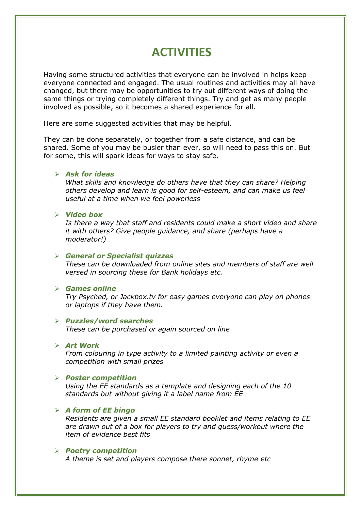# **ACTIVITIES**

Having some structured activities that everyone can be involved in helps keep everyone connected and engaged. The usual routines and activities may all have changed, but there may be opportunities to try out different ways of doing the same things or trying completely different things. Try and get as many people involved as possible, so it becomes a shared experience for all.

Here are some suggested activities that may be helpful.

They can be done separately, or together from a safe distance, and can be shared. Some of you may be busier than ever, so will need to pass this on. But for some, this will spark ideas for ways to stay safe.

# ➢ *Ask for ideas*

*What skills and knowledge do others have that they can share? Helping others develop and learn is good for self-esteem, and can make us feel useful at a time when we feel powerless*

### ➢ *Video box*

*Is there a way that staff and residents could make a short video and share it with others? Give people guidance, and share (perhaps have a moderator!)* 

# ➢ *General or Specialist quizzes*

*These can be downloaded from online sites and members of staff are well versed in sourcing these for Bank holidays etc.*

#### ➢ *Games online*

*Try Psyched, or Jackbox.tv for easy games everyone can play on phones or laptops if they have them.* 

# ➢ *Puzzles/word searches*

*These can be purchased or again sourced on line*

### ➢ *Art Work*

*From colouring in type activity to a limited painting activity or even a competition with small prizes*

#### ➢ *Poster competition*

*Using the EE standards as a template and designing each of the 10 standards but without giving it a label name from EE*

# ➢ *A form of EE bingo*

*Residents are given a small EE standard booklet and items relating to EE are drawn out of a box for players to try and guess/workout where the item of evidence best fits*

#### ➢ *Poetry competition*

*A theme is set and players compose there sonnet, rhyme etc*